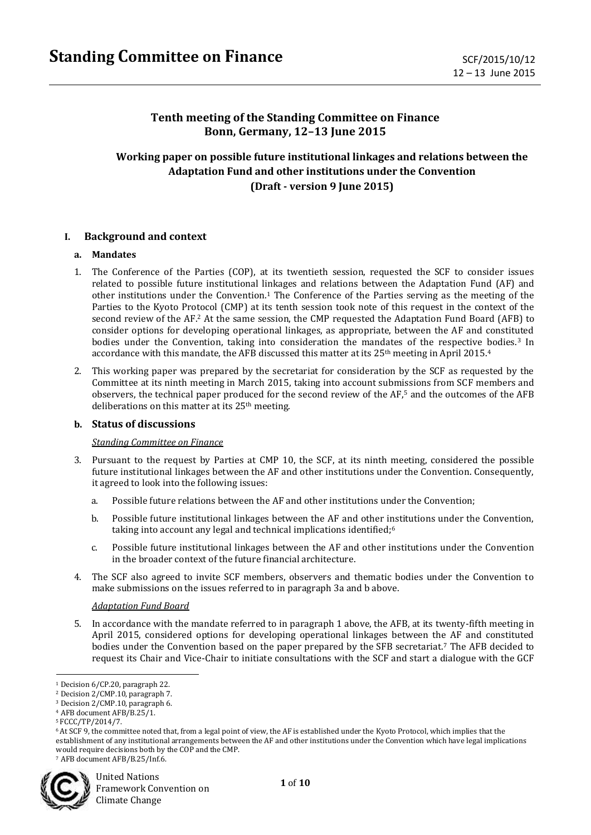# **Tenth meeting of the Standing Committee on Finance Bonn, Germany, 12–13 June 2015**

# **Working paper on possible future institutional linkages and relations between the Adaptation Fund and other institutions under the Convention (Draft - version 9 June 2015)**

### **I. Background and context**

#### **a. Mandates**

- 1. The Conference of the Parties (COP), at its twentieth session, requested the SCF to consider issues related to possible future institutional linkages and relations between the Adaptation Fund (AF) and other institutions under the Convention.<sup>1</sup> The Conference of the Parties serving as the meeting of the Parties to the Kyoto Protocol (CMP) at its tenth session took note of this request in the context of the second review of the AF. <sup>2</sup> At the same session, the CMP requested the Adaptation Fund Board (AFB) to consider options for developing operational linkages, as appropriate, between the AF and constituted bodies under the Convention, taking into consideration the mandates of the respective bodies.<sup>3</sup> In accordance with this mandate, the AFB discussed this matter at its  $25<sup>th</sup>$  meeting in April 2015.<sup>4</sup>
- 2. This working paper was prepared by the secretariat for consideration by the SCF as requested by the Committee at its ninth meeting in March 2015, taking into account submissions from SCF members and observers, the technical paper produced for the second review of the AF,<sup>5</sup> and the outcomes of the AFB deliberations on this matter at its  $25<sup>th</sup>$  meeting.

#### **b. Status of discussions**

#### *Standing Committee on Finance*

- 3. Pursuant to the request by Parties at CMP 10, the SCF, at its ninth meeting, considered the possible future institutional linkages between the AF and other institutions under the Convention. Consequently, it agreed to look into the following issues:
	- a. Possible future relations between the AF and other institutions under the Convention;
	- b. Possible future institutional linkages between the AF and other institutions under the Convention, taking into account any legal and technical implications identified;<sup>6</sup>
	- c. Possible future institutional linkages between the AF and other institutions under the Convention in the broader context of the future financial architecture.
- 4. The SCF also agreed to invite SCF members, observers and thematic bodies under the Convention to make submissions on the issues referred to in paragraph 3a and b above.

#### *Adaptation Fund Board*

5. In accordance with the mandate referred to in paragraph 1 above, the AFB, at its twenty-fifth meeting in April 2015, considered options for developing operational linkages between the AF and constituted bodies under the Convention based on the paper prepared by the SFB secretariat.<sup>7</sup> The AFB decided to request its Chair and Vice-Chair to initiate consultations with the SCF and start a dialogue with the GCF

<sup>7</sup> AFB document AFB/B.25/Inf.6.



<sup>1</sup> <sup>1</sup> Decision 6/CP.20, paragraph 22.

<sup>2</sup> Decision 2/CMP.10, paragraph 7.

<sup>3</sup> Decision 2/CMP.10, paragraph 6.

<sup>4</sup> AFB document AFB/B.25/1.

<sup>5</sup> FCCC/TP/2014/7.

<sup>6</sup>At SCF 9, the committee noted that, from a legal point of view, the AF is established under the Kyoto Protocol, which implies that the establishment of any institutional arrangements between the AF and other institutions under the Convention which have legal implications would require decisions both by the COP and the CMP.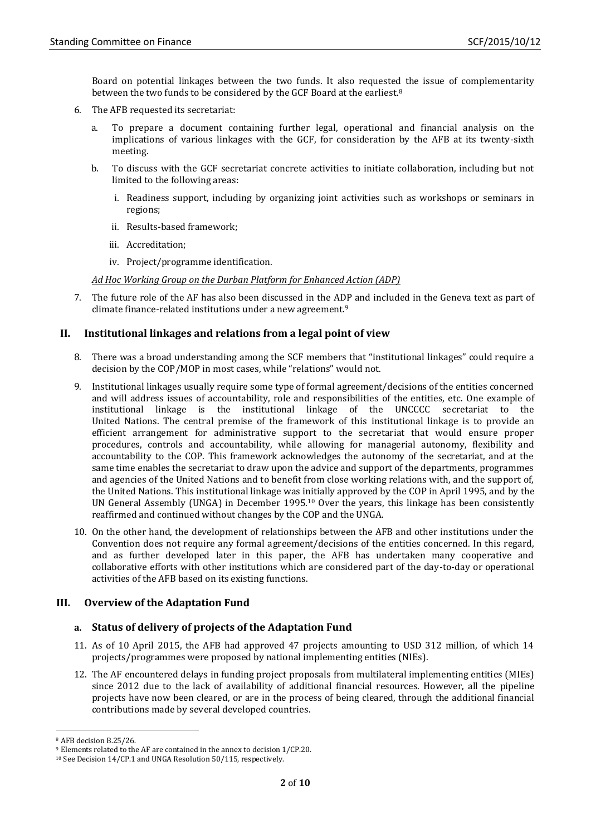Board on potential linkages between the two funds. It also requested the issue of complementarity between the two funds to be considered by the GCF Board at the earliest.<sup>8</sup>

- 6. The AFB requested its secretariat:
	- a. To prepare a document containing further legal, operational and financial analysis on the implications of various linkages with the GCF, for consideration by the AFB at its twenty-sixth meeting.
	- b. To discuss with the GCF secretariat concrete activities to initiate collaboration, including but not limited to the following areas:
		- i. Readiness support, including by organizing joint activities such as workshops or seminars in regions;
		- ii. Results-based framework;
		- iii. Accreditation;
		- iv. Project/programme identification.

*Ad Hoc Working Group on the Durban Platform for Enhanced Action (ADP)*

7. The future role of the AF has also been discussed in the ADP and included in the Geneva text as part of climate finance-related institutions under a new agreement.<sup>9</sup>

# **II. Institutional linkages and relations from a legal point of view**

- 8. There was a broad understanding among the SCF members that "institutional linkages" could require a decision by the COP/MOP in most cases, while "relations" would not.
- 9. Institutional linkages usually require some type of formal agreement/decisions of the entities concerned and will address issues of accountability, role and responsibilities of the entities, etc. One example of institutional linkage is the institutional linkage of the UNCCCC secretariat to the United Nations. The central premise of the framework of this institutional linkage is to provide an efficient arrangement for administrative support to the secretariat that would ensure proper procedures, controls and accountability, while allowing for managerial autonomy, flexibility and accountability to the COP. This framework acknowledges the autonomy of the secretariat, and at the same time enables the secretariat to draw upon the advice and support of the departments, programmes and agencies of the United Nations and to benefit from close working relations with, and the support of, the United Nations. This institutional linkage was initially approved by the COP in April 1995, and by the UN General Assembly (UNGA) in December 1995.<sup>10</sup> Over the years, this linkage has been consistently reaffirmed and continued without changes by the COP and the UNGA.
- 10. On the other hand, the development of relationships between the AFB and other institutions under the Convention does not require any formal agreement/decisions of the entities concerned. In this regard, and as further developed later in this paper, the AFB has undertaken many cooperative and collaborative efforts with other institutions which are considered part of the day-to-day or operational activities of the AFB based on its existing functions.

# **III. Overview of the Adaptation Fund**

# **a. Status of delivery of projects of the Adaptation Fund**

- 11. As of 10 April 2015, the AFB had approved 47 projects amounting to USD 312 million, of which 14 projects/programmes were proposed by national implementing entities (NIEs).
- 12. The AF encountered delays in funding project proposals from multilateral implementing entities (MIEs) since 2012 due to the lack of availability of additional financial resources. However, all the pipeline projects have now been cleared, or are in the process of being cleared, through the additional financial contributions made by several developed countries.

1

<sup>8</sup> AFB decision B.25/26.

<sup>9</sup> Elements related to the AF are contained in the annex to decision 1/CP.20.

<sup>10</sup> See Decision 14/CP.1 and UNGA Resolution 50/115, respectively.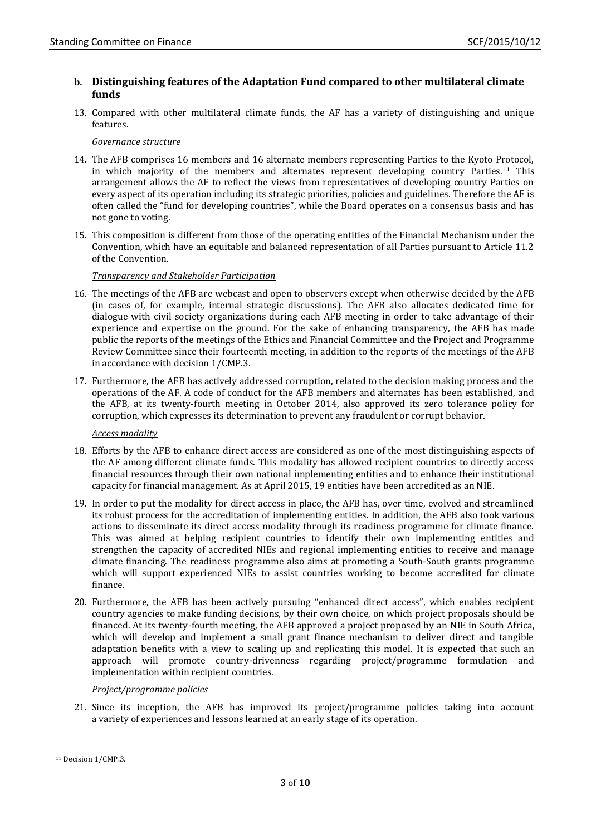### **b. Distinguishing features of the Adaptation Fund compared to other multilateral climate funds**

13. Compared with other multilateral climate funds, the AF has a variety of distinguishing and unique features.

### *Governance structure*

- 14. The AFB comprises 16 members and 16 alternate members representing Parties to the Kyoto Protocol, in which majority of the members and alternates represent developing country Parties.<sup>11</sup> This arrangement allows the AF to reflect the views from representatives of developing country Parties on every aspect of its operation including its strategic priorities, policies and guidelines. Therefore the AF is often called the "fund for developing countries", while the Board operates on a consensus basis and has not gone to voting.
- 15. This composition is different from those of the operating entities of the Financial Mechanism under the Convention, which have an equitable and balanced representation of all Parties pursuant to Article 11.2 of the Convention.

### *Transparency and Stakeholder Participation*

- 16. The meetings of the AFB are webcast and open to observers except when otherwise decided by the AFB (in cases of, for example, internal strategic discussions). The AFB also allocates dedicated time for dialogue with civil society organizations during each AFB meeting in order to take advantage of their experience and expertise on the ground. For the sake of enhancing transparency, the AFB has made public the reports of the meetings of the Ethics and Financial Committee and the Project and Programme Review Committee since their fourteenth meeting, in addition to the reports of the meetings of the AFB in accordance with decision 1/CMP.3.
- 17. Furthermore, the AFB has actively addressed corruption, related to the decision making process and the operations of the AF. A code of conduct for the AFB members and alternates has been established, and the AFB, at its twenty-fourth meeting in October 2014, also approved its zero tolerance policy for corruption, which expresses its determination to prevent any fraudulent or corrupt behavior.

#### *Access modality*

- 18. Efforts by the AFB to enhance direct access are considered as one of the most distinguishing aspects of the AF among different climate funds. This modality has allowed recipient countries to directly access financial resources through their own national implementing entities and to enhance their institutional capacity for financial management. As at April 2015, 19 entities have been accredited as an NIE.
- 19. In order to put the modality for direct access in place, the AFB has, over time, evolved and streamlined its robust process for the accreditation of implementing entities. In addition, the AFB also took various actions to disseminate its direct access modality through its readiness programme for climate finance. This was aimed at helping recipient countries to identify their own implementing entities and strengthen the capacity of accredited NIEs and regional implementing entities to receive and manage climate financing. The readiness programme also aims at promoting a South-South grants programme which will support experienced NIEs to assist countries working to become accredited for climate finance.
- 20. Furthermore, the AFB has been actively pursuing "enhanced direct access", which enables recipient country agencies to make funding decisions, by their own choice, on which project proposals should be financed. At its twenty-fourth meeting, the AFB approved a project proposed by an NIE in South Africa, which will develop and implement a small grant finance mechanism to deliver direct and tangible adaptation benefits with a view to scaling up and replicating this model. It is expected that such an approach will promote country-drivenness regarding project/programme formulation and implementation within recipient countries.

#### *Project/programme policies*

21. Since its inception, the AFB has improved its project/programme policies taking into account a variety of experiences and lessons learned at an early stage of its operation.

**.** 

<sup>&</sup>lt;sup>11</sup> Decision 1/CMP.3.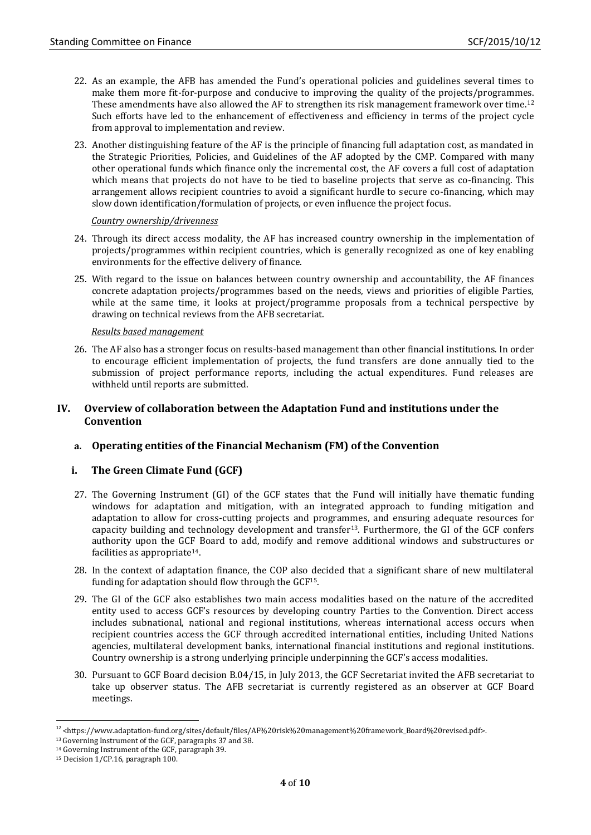- 22. As an example, the AFB has amended the Fund's operational policies and guidelines several times to make them more fit-for-purpose and conducive to improving the quality of the projects/programmes. These amendments have also allowed the AF to strengthen its risk management framework over time.<sup>12</sup> Such efforts have led to the enhancement of effectiveness and efficiency in terms of the project cycle from approval to implementation and review.
- 23. Another distinguishing feature of the AF is the principle of financing full adaptation cost, as mandated in the Strategic Priorities, Policies, and Guidelines of the AF adopted by the CMP. Compared with many other operational funds which finance only the incremental cost, the AF covers a full cost of adaptation which means that projects do not have to be tied to baseline projects that serve as co-financing. This arrangement allows recipient countries to avoid a significant hurdle to secure co-financing, which may slow down identification/formulation of projects, or even influence the project focus.

#### *Country ownership/drivenness*

- 24. Through its direct access modality, the AF has increased country ownership in the implementation of projects/programmes within recipient countries, which is generally recognized as one of key enabling environments for the effective delivery of finance.
- 25. With regard to the issue on balances between country ownership and accountability, the AF finances concrete adaptation projects/programmes based on the needs, views and priorities of eligible Parties, while at the same time, it looks at project/programme proposals from a technical perspective by drawing on technical reviews from the AFB secretariat.

#### *Results based management*

26. The AF also has a stronger focus on results-based management than other financial institutions. In order to encourage efficient implementation of projects, the fund transfers are done annually tied to the submission of project performance reports, including the actual expenditures. Fund releases are withheld until reports are submitted.

### **IV. Overview of collaboration between the Adaptation Fund and institutions under the Convention**

# **a. Operating entities of the Financial Mechanism (FM) of the Convention**

#### **i. The Green Climate Fund (GCF)**

- 27. The Governing Instrument (GI) of the GCF states that the Fund will initially have thematic funding windows for adaptation and mitigation, with an integrated approach to funding mitigation and adaptation to allow for cross-cutting projects and programmes, and ensuring adequate resources for capacity building and technology development and transfer13. Furthermore, the GI of the GCF confers authority upon the GCF Board to add, modify and remove additional windows and substructures or facilities as appropriate<sup>14</sup>.
- 28. In the context of adaptation finance, the COP also decided that a significant share of new multilateral funding for adaptation should flow through the GCF15.
- 29. The GI of the GCF also establishes two main access modalities based on the nature of the accredited entity used to access GCF's resources by developing country Parties to the Convention. Direct access includes subnational, national and regional institutions, whereas international access occurs when recipient countries access the GCF through accredited international entities, including United Nations agencies, multilateral development banks, international financial institutions and regional institutions. Country ownership is a strong underlying principle underpinning the GCF's access modalities.
- 30. Pursuant to GCF Board decision B.04/15, in July 2013, the GCF Secretariat invited the AFB secretariat to take up observer status. The AFB secretariat is currently registered as an observer at GCF Board meetings.

<sup>-</sup><sup>12</sup> <https://www.adaptation-fund.org/sites/default/files/AF%20risk%20management%20framework\_Board%20revised.pdf>.

<sup>13</sup>Governing Instrument of the GCF, paragraphs 37 and 38.

<sup>14</sup> Governing Instrument of the GCF, paragraph 39.

<sup>15</sup> Decision 1/CP.16, paragraph 100.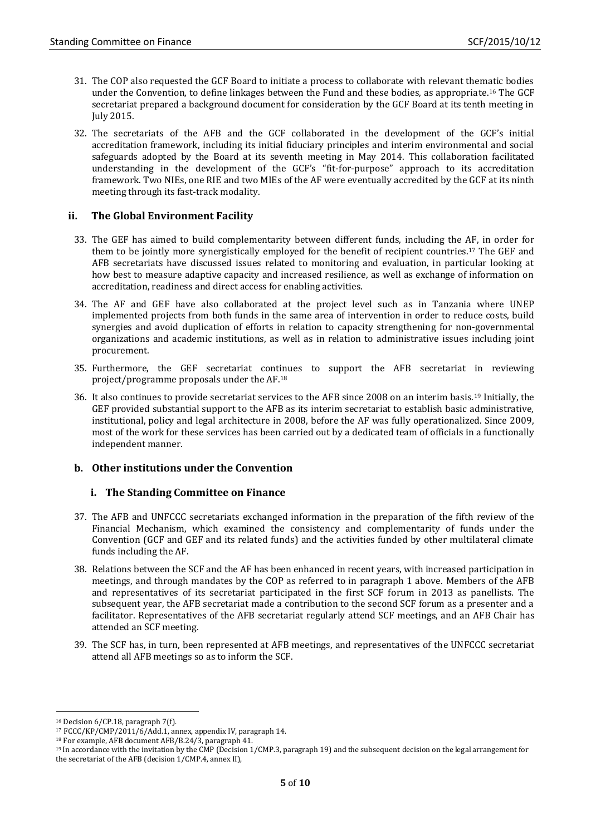- 31. The COP also requested the GCF Board to initiate a process to collaborate with relevant thematic bodies under the Convention, to define linkages between the Fund and these bodies, as appropriate. <sup>16</sup> The GCF secretariat prepared a background document for consideration by the GCF Board at its tenth meeting in July 2015.
- 32. The secretariats of the AFB and the GCF collaborated in the development of the GCF's initial accreditation framework, including its initial fiduciary principles and interim environmental and social safeguards adopted by the Board at its seventh meeting in May 2014. This collaboration facilitated understanding in the development of the GCF's "fit-for-purpose" approach to its accreditation framework. Two NIEs, one RIE and two MIEs of the AF were eventually accredited by the GCF at its ninth meeting through its fast-track modality.

# **ii. The Global Environment Facility**

- 33. The GEF has aimed to build complementarity between different funds, including the AF, in order for them to be jointly more synergistically employed for the benefit of recipient countries. <sup>17</sup> The GEF and AFB secretariats have discussed issues related to monitoring and evaluation, in particular looking at how best to measure adaptive capacity and increased resilience, as well as exchange of information on accreditation, readiness and direct access for enabling activities.
- 34. The AF and GEF have also collaborated at the project level such as in Tanzania where UNEP implemented projects from both funds in the same area of intervention in order to reduce costs, build synergies and avoid duplication of efforts in relation to capacity strengthening for non-governmental organizations and academic institutions, as well as in relation to administrative issues including joint procurement.
- 35. Furthermore, the GEF secretariat continues to support the AFB secretariat in reviewing project/programme proposals under the AF.<sup>18</sup>
- 36. It also continues to provide secretariat services to the AFB since 2008 on an interim basis.<sup>19</sup> Initially, the GEF provided substantial support to the AFB as its interim secretariat to establish basic administrative, institutional, policy and legal architecture in 2008, before the AF was fully operationalized. Since 2009, most of the work for these services has been carried out by a dedicated team of officials in a functionally independent manner.

# **b. Other institutions under the Convention**

#### **i. The Standing Committee on Finance**

- 37. The AFB and UNFCCC secretariats exchanged information in the preparation of the fifth review of the Financial Mechanism, which examined the consistency and complementarity of funds under the Convention (GCF and GEF and its related funds) and the activities funded by other multilateral climate funds including the AF.
- 38. Relations between the SCF and the AF has been enhanced in recent years, with increased participation in meetings, and through mandates by the COP as referred to in paragraph 1 above. Members of the AFB and representatives of its secretariat participated in the first SCF forum in 2013 as panellists. The subsequent year, the AFB secretariat made a contribution to the second SCF forum as a presenter and a facilitator. Representatives of the AFB secretariat regularly attend SCF meetings, and an AFB Chair has attended an SCF meeting.
- 39. The SCF has, in turn, been represented at AFB meetings, and representatives of the UNFCCC secretariat attend all AFB meetings so as to inform the SCF.

-

<sup>16</sup> Decision 6/CP.18, paragraph 7(f).

<sup>17</sup> FCCC/KP/CMP/2011/6/Add.1, annex, appendix IV, paragraph 14.

<sup>18</sup> For example, AFB document AFB/B.24/3, paragraph 41.

<sup>19</sup> In accordance with the invitation by the CMP (Decision 1/CMP.3, paragraph 19) and the subsequent decision on the legal arrangement for the secretariat of the AFB (decision 1/CMP.4, annex II),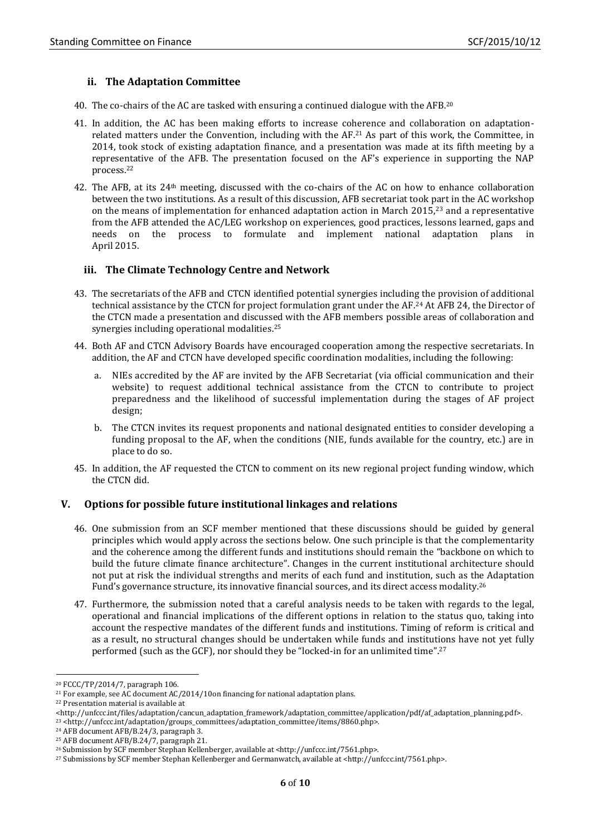#### **ii. The Adaptation Committee**

- 40. The co-chairs of the AC are tasked with ensuring a continued dialogue with the AFB.<sup>20</sup>
- 41. In addition, the AC has been making efforts to increase coherence and collaboration on adaptationrelated matters under the Convention, including with the AF.<sup>21</sup> As part of this work, the Committee, in 2014, took stock of existing adaptation finance, and a presentation was made at its fifth meeting by a representative of the AFB. The presentation focused on the AF's experience in supporting the NAP process.<sup>22</sup>
- 42. The AFB, at its 24th meeting, discussed with the co-chairs of the AC on how to enhance collaboration between the two institutions. As a result of this discussion, AFB secretariat took part in the AC workshop on the means of implementation for enhanced adaptation action in March 2015, <sup>23</sup> and a representative from the AFB attended the AC/LEG workshop on experiences, good practices, lessons learned, gaps and needs on the process to formulate and implement national adaptation plans April 2015.

#### **iii. The Climate Technology Centre and Network**

- 43. The secretariats of the AFB and CTCN identified potential synergies including the provision of additional technical assistance by the CTCN for project formulation grant under the AF.<sup>24</sup> At AFB 24, the Director of the CTCN made a presentation and discussed with the AFB members possible areas of collaboration and synergies including operational modalities.<sup>25</sup>
- 44. Both AF and CTCN Advisory Boards have encouraged cooperation among the respective secretariats. In addition, the AF and CTCN have developed specific coordination modalities, including the following:
	- a. NIEs accredited by the AF are invited by the AFB Secretariat (via official communication and their website) to request additional technical assistance from the CTCN to contribute to project preparedness and the likelihood of successful implementation during the stages of AF project design;
	- b. The CTCN invites its request proponents and national designated entities to consider developing a funding proposal to the AF, when the conditions (NIE, funds available for the country, etc.) are in place to do so.
- 45. In addition, the AF requested the CTCN to comment on its new regional project funding window, which the CTCN did.

#### **V. Options for possible future institutional linkages and relations**

- 46. One submission from an SCF member mentioned that these discussions should be guided by general principles which would apply across the sections below. One such principle is that the complementarity and the coherence among the different funds and institutions should remain the "backbone on which to build the future climate finance architecture". Changes in the current institutional architecture should not put at risk the individual strengths and merits of each fund and institution, such as the Adaptation Fund's governance structure, its innovative financial sources, and its direct access modality. 26
- 47. Furthermore, the submission noted that a careful analysis needs to be taken with regards to the legal, operational and financial implications of the different options in relation to the status quo, taking into account the respective mandates of the different funds and institutions. Timing of reform is critical and as a result, no structural changes should be undertaken while funds and institutions have not yet fully performed (such as the GCF), nor should they be "locked-in for an unlimited time". 27

1

<sup>20</sup> FCCC/TP/2014/7, paragraph 106.

<sup>&</sup>lt;sup>21</sup> For example, see AC document AC/2014/10on financing for national adaptation plans.

<sup>22</sup> Presentation material is available at

<sup>&</sup>lt;http://unfccc.int/files/adaptation/cancun\_adaptation\_framework/adaptation\_committee/application/pdf/af\_adaptation\_planning.pdf>.

<sup>23</sup> <http://unfccc.int/adaptation/groups\_committees/adaptation\_committee/items/8860.php>.

<sup>24</sup> AFB document AFB/B.24/3, paragraph 3.

<sup>25</sup> AFB document AFB/B.24/7, paragraph 21.

<sup>&</sup>lt;sup>26</sup> Submission by SCF member Stephan Kellenberger, available at <http://unfccc.int/7561.php>.

<sup>27</sup> Submissions by SCF member Stephan Kellenberger and Germanwatch, available at <http://unfccc.int/7561.php>.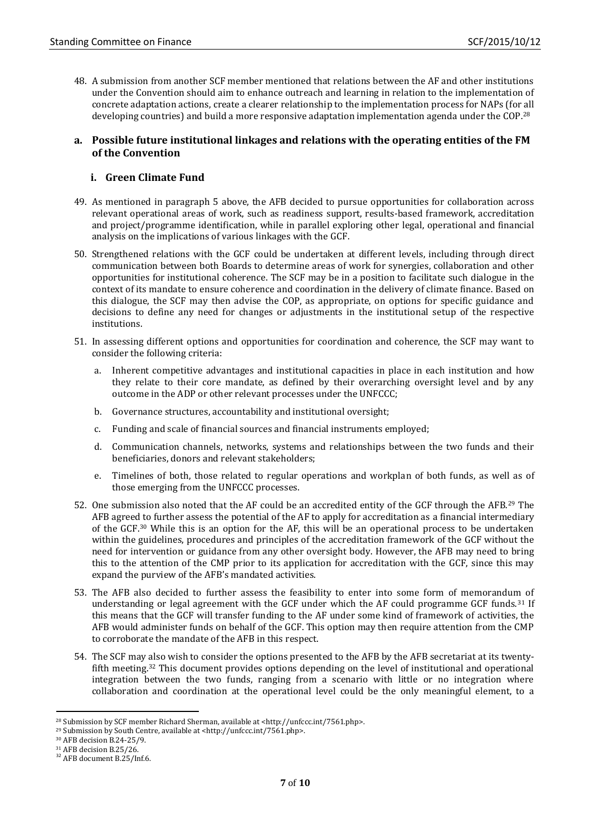48. A submission from another SCF member mentioned that relations between the AF and other institutions under the Convention should aim to enhance outreach and learning in relation to the implementation of concrete adaptation actions, create a clearer relationship to the implementation process for NAPs (for all developing countries) and build a more responsive adaptation implementation agenda under the COP.<sup>28</sup>

#### **a. Possible future institutional linkages and relations with the operating entities of the FM of the Convention**

### **i. Green Climate Fund**

- 49. As mentioned in paragraph 5 above, the AFB decided to pursue opportunities for collaboration across relevant operational areas of work, such as readiness support, results-based framework, accreditation and project/programme identification, while in parallel exploring other legal, operational and financial analysis on the implications of various linkages with the GCF.
- 50. Strengthened relations with the GCF could be undertaken at different levels, including through direct communication between both Boards to determine areas of work for synergies, collaboration and other opportunities for institutional coherence. The SCF may be in a position to facilitate such dialogue in the context of its mandate to ensure coherence and coordination in the delivery of climate finance. Based on this dialogue, the SCF may then advise the COP, as appropriate, on options for specific guidance and decisions to define any need for changes or adjustments in the institutional setup of the respective institutions.
- 51. In assessing different options and opportunities for coordination and coherence, the SCF may want to consider the following criteria:
	- a. Inherent competitive advantages and institutional capacities in place in each institution and how they relate to their core mandate, as defined by their overarching oversight level and by any outcome in the ADP or other relevant processes under the UNFCCC;
	- b. Governance structures, accountability and institutional oversight;
	- c. Funding and scale of financial sources and financial instruments employed;
	- d. Communication channels, networks, systems and relationships between the two funds and their beneficiaries, donors and relevant stakeholders;
	- e. Timelines of both, those related to regular operations and workplan of both funds, as well as of those emerging from the UNFCCC processes.
- 52. One submission also noted that the AF could be an accredited entity of the GCF through the AFB.<sup>29</sup> The AFB agreed to further assess the potential of the AF to apply for accreditation as a financial intermediary of the GCF.<sup>30</sup> While this is an option for the AF, this will be an operational process to be undertaken within the guidelines, procedures and principles of the accreditation framework of the GCF without the need for intervention or guidance from any other oversight body. However, the AFB may need to bring this to the attention of the CMP prior to its application for accreditation with the GCF, since this may expand the purview of the AFB's mandated activities.
- 53. The AFB also decided to further assess the feasibility to enter into some form of memorandum of understanding or legal agreement with the GCF under which the AF could programme GCF funds.<sup>31</sup> If this means that the GCF will transfer funding to the AF under some kind of framework of activities, the AFB would administer funds on behalf of the GCF. This option may then require attention from the CMP to corroborate the mandate of the AFB in this respect.
- 54. The SCF may also wish to consider the options presented to the AFB by the AFB secretariat at its twentyfifth meeting.<sup>32</sup> This document provides options depending on the level of institutional and operational integration between the two funds, ranging from a scenario with little or no integration where collaboration and coordination at the operational level could be the only meaningful element, to a

-

<sup>28</sup> Submission by SCF member Richard Sherman, available at <http://unfccc.int/7561.php>.

<sup>29</sup> Submission by South Centre, available at <http://unfccc.int/7561.php>.

<sup>30</sup> AFB decision B.24-25/9.

<sup>31</sup> AFB decision B.25/26.

<sup>&</sup>lt;sup>32</sup> AFB document B.25/Inf.6.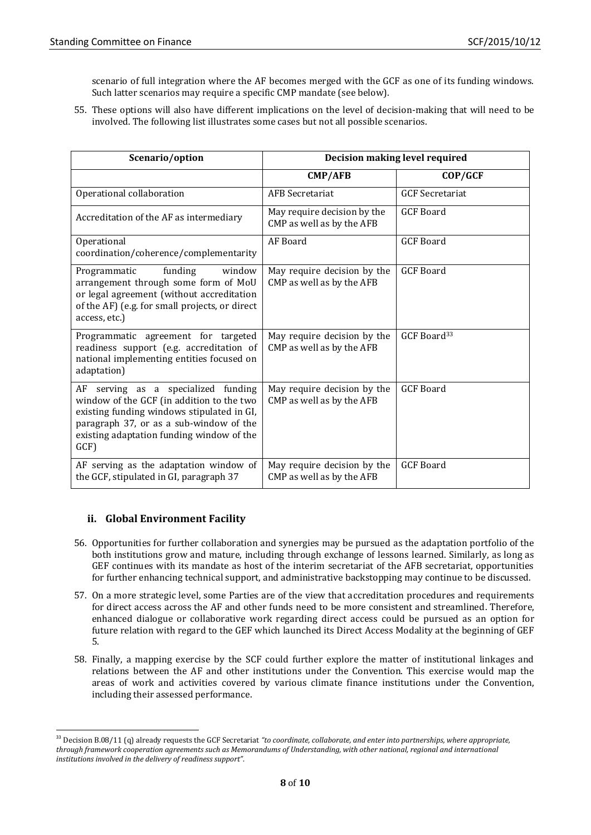scenario of full integration where the AF becomes merged with the GCF as one of its funding windows. Such latter scenarios may require a specific CMP mandate (see below).

55. These options will also have different implications on the level of decision-making that will need to be involved. The following list illustrates some cases but not all possible scenarios.

| Scenario/option                                                                                                                                                                                                               | Decision making level required                           |                         |
|-------------------------------------------------------------------------------------------------------------------------------------------------------------------------------------------------------------------------------|----------------------------------------------------------|-------------------------|
|                                                                                                                                                                                                                               | <b>CMP/AFB</b>                                           | COP/GCF                 |
| Operational collaboration                                                                                                                                                                                                     | <b>AFB Secretariat</b>                                   | <b>GCF</b> Secretariat  |
| Accreditation of the AF as intermediary                                                                                                                                                                                       | May require decision by the<br>CMP as well as by the AFB | <b>GCF Board</b>        |
| Operational<br>coordination/coherence/complementarity                                                                                                                                                                         | AF Board                                                 | <b>GCF</b> Board        |
| funding<br>Programmatic<br>window<br>arrangement through some form of MoU<br>or legal agreement (without accreditation<br>of the AF) (e.g. for small projects, or direct<br>access, etc.)                                     | May require decision by the<br>CMP as well as by the AFB | <b>GCF Board</b>        |
| Programmatic agreement for targeted<br>readiness support (e.g. accreditation of<br>national implementing entities focused on<br>adaptation)                                                                                   | May require decision by the<br>CMP as well as by the AFB | GCF Board <sup>33</sup> |
| AF serving as a specialized funding<br>window of the GCF (in addition to the two<br>existing funding windows stipulated in GI,<br>paragraph 37, or as a sub-window of the<br>existing adaptation funding window of the<br>GCF | May require decision by the<br>CMP as well as by the AFB | <b>GCF Board</b>        |
| AF serving as the adaptation window of<br>the GCF, stipulated in GI, paragraph 37                                                                                                                                             | May require decision by the<br>CMP as well as by the AFB | <b>GCF</b> Board        |

# **ii. Global Environment Facility**

- 56. Opportunities for further collaboration and synergies may be pursued as the adaptation portfolio of the both institutions grow and mature, including through exchange of lessons learned. Similarly, as long as GEF continues with its mandate as host of the interim secretariat of the AFB secretariat, opportunities for further enhancing technical support, and administrative backstopping may continue to be discussed.
- 57. On a more strategic level, some Parties are of the view that accreditation procedures and requirements for direct access across the AF and other funds need to be more consistent and streamlined. Therefore, enhanced dialogue or collaborative work regarding direct access could be pursued as an option for future relation with regard to the GEF which launched its Direct Access Modality at the beginning of GEF 5.
- 58. Finally, a mapping exercise by the SCF could further explore the matter of institutional linkages and relations between the AF and other institutions under the Convention. This exercise would map the areas of work and activities covered by various climate finance institutions under the Convention, including their assessed performance.

<sup>1</sup> <sup>33</sup> Decision B.08/11 (q) already requests the GCF Secretariat "to coordinate, collaborate, and enter into partnerships, where appropriate, *through framework cooperation agreements such as Memorandums of Understanding, with other national, regional and international institutions involved in the delivery of readiness support"*.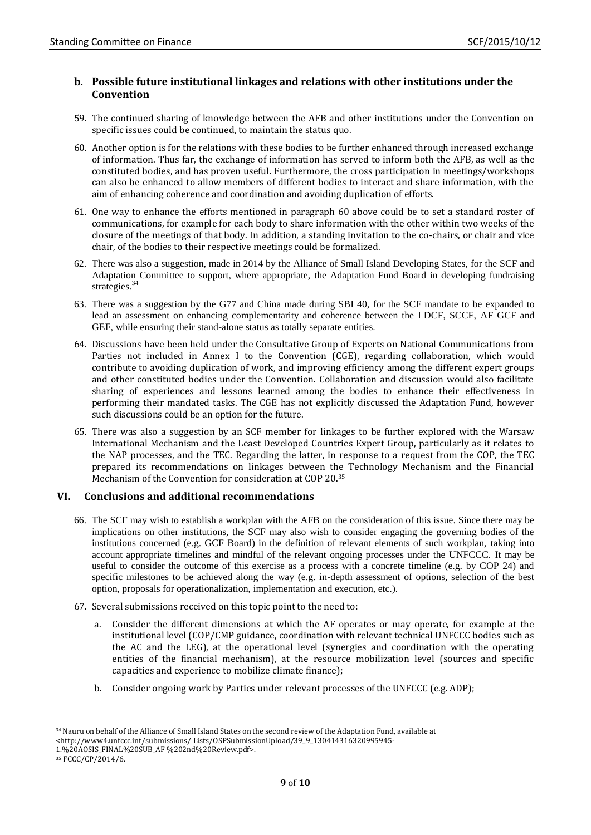### **b. Possible future institutional linkages and relations with other institutions under the Convention**

- 59. The continued sharing of knowledge between the AFB and other institutions under the Convention on specific issues could be continued, to maintain the status quo.
- 60. Another option is for the relations with these bodies to be further enhanced through increased exchange of information. Thus far, the exchange of information has served to inform both the AFB, as well as the constituted bodies, and has proven useful. Furthermore, the cross participation in meetings/workshops can also be enhanced to allow members of different bodies to interact and share information, with the aim of enhancing coherence and coordination and avoiding duplication of efforts.
- 61. One way to enhance the efforts mentioned in paragraph 60 above could be to set a standard roster of communications, for example for each body to share information with the other within two weeks of the closure of the meetings of that body. In addition, a standing invitation to the co-chairs, or chair and vice chair, of the bodies to their respective meetings could be formalized.
- 62. There was also a suggestion, made in 2014 by the Alliance of Small Island Developing States, for the SCF and Adaptation Committee to support, where appropriate, the Adaptation Fund Board in developing fundraising strategies.<sup>34</sup>
- 63. There was a suggestion by the G77 and China made during SBI 40, for the SCF mandate to be expanded to lead an assessment on enhancing complementarity and coherence between the LDCF, SCCF, AF GCF and GEF, while ensuring their stand-alone status as totally separate entities.
- 64. Discussions have been held under the Consultative Group of Experts on National Communications from Parties not included in Annex I to the Convention (CGE), regarding collaboration, which would contribute to avoiding duplication of work, and improving efficiency among the different expert groups and other constituted bodies under the Convention. Collaboration and discussion would also facilitate sharing of experiences and lessons learned among the bodies to enhance their effectiveness in performing their mandated tasks. The CGE has not explicitly discussed the Adaptation Fund, however such discussions could be an option for the future.
- 65. There was also a suggestion by an SCF member for linkages to be further explored with the Warsaw International Mechanism and the Least Developed Countries Expert Group, particularly as it relates to the NAP processes, and the TEC. Regarding the latter, in response to a request from the COP, the TEC prepared its recommendations on linkages between the Technology Mechanism and the Financial Mechanism of the Convention for consideration at COP 20.<sup>35</sup>

# **VI. Conclusions and additional recommendations**

- 66. The SCF may wish to establish a workplan with the AFB on the consideration of this issue. Since there may be implications on other institutions, the SCF may also wish to consider engaging the governing bodies of the institutions concerned (e.g. GCF Board) in the definition of relevant elements of such workplan, taking into account appropriate timelines and mindful of the relevant ongoing processes under the UNFCCC. It may be useful to consider the outcome of this exercise as a process with a concrete timeline (e.g. by COP 24) and specific milestones to be achieved along the way (e.g. in-depth assessment of options, selection of the best option, proposals for operationalization, implementation and execution, etc.).
- 67. Several submissions received on this topic point to the need to:
	- a. Consider the different dimensions at which the AF operates or may operate, for example at the institutional level (COP/CMP guidance, coordination with relevant technical UNFCCC bodies such as the AC and the LEG), at the operational level (synergies and coordination with the operating entities of the financial mechanism), at the resource mobilization level (sources and specific capacities and experience to mobilize climate finance);
	- b. Consider ongoing work by Parties under relevant processes of the UNFCCC (e.g. ADP);

<sup>1</sup> <sup>34</sup>Nauru on behalf of the Alliance of Small Island States on the second review of the Adaptation Fund, available at

<sup>&</sup>lt;http://www4.unfccc.int/submissions/Lists/OSPSubmissionUpload/39\_9\_130414316320995945-

<sup>1.%20</sup>AOSIS\_FINAL%20SUB\_AF %202nd%20Review.pdf>.

<sup>35</sup> FCCC/CP/2014/6.